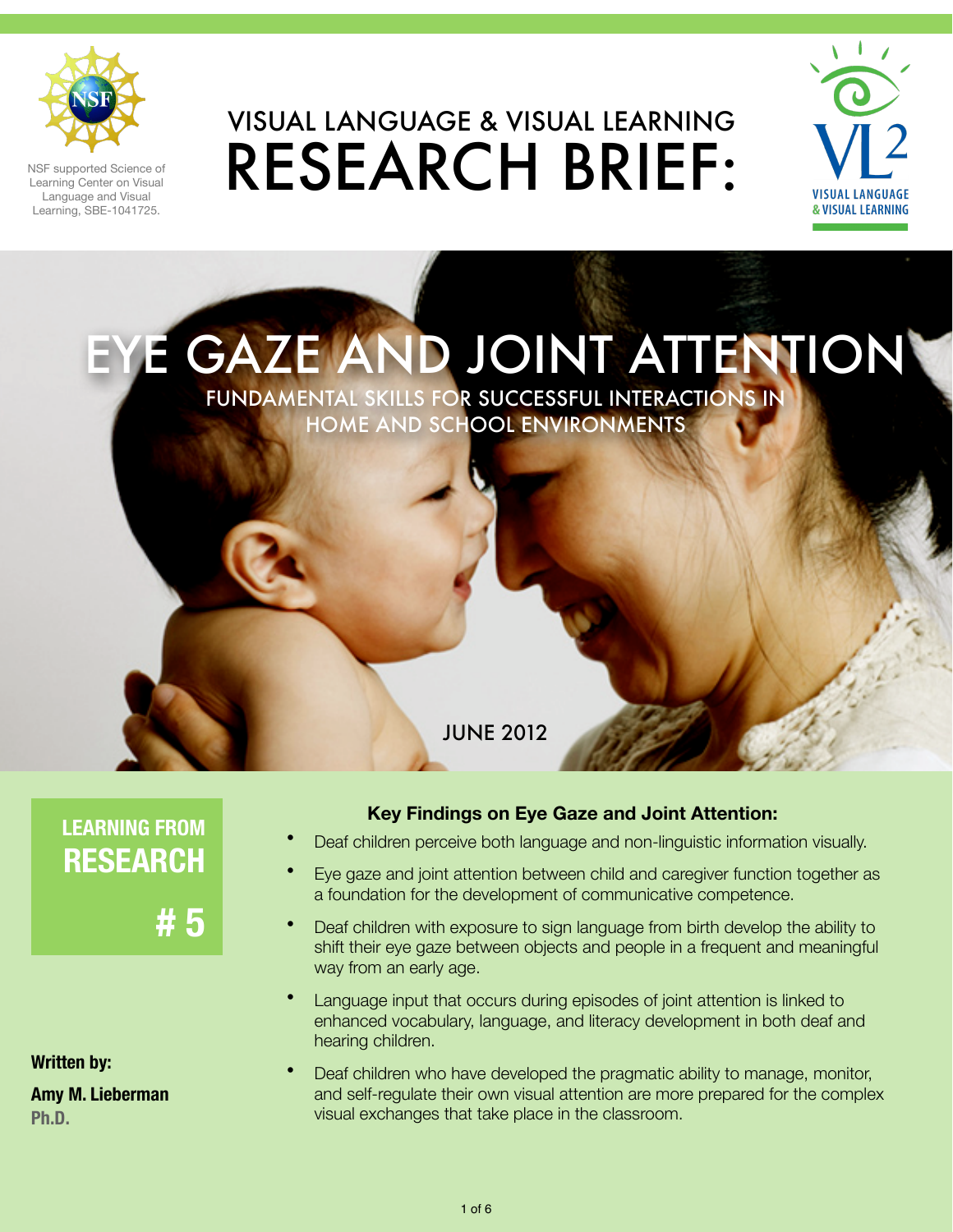

NSF supported Science of Learning Center on Visual Language and Visual Learning, SBE-1041725.

# VISUAL LANGUAGE & VISUAL LEARNING RESEARCH BRIEF:



**GAZE AND JOINT ATTENTION** 

FUNDAMENTAL SKILLS FOR SUCCESSFUL INTERACTIONS IN HOME AND SCHOOL ENVIRONMENTS

#### JUNE 2012

**LEARNING FROM RESEARCH**

**# 5**

**Written by:**

**Amy M. Lieberman Ph.D.**

#### **Key Findings on Eye Gaze and Joint Attention:**

- Deaf children perceive both language and non-linguistic information visually.
- Eye gaze and joint attention between child and caregiver function together as a foundation for the development of communicative competence.
- Deaf children with exposure to sign language from birth develop the ability to shift their eye gaze between objects and people in a frequent and meaningful way from an early age.
- Language input that occurs during episodes of joint attention is linked to enhanced vocabulary, language, and literacy development in both deaf and hearing children.
- Deaf children who have developed the pragmatic ability to manage, monitor, and self-regulate their own visual attention are more prepared for the complex visual exchanges that take place in the classroom.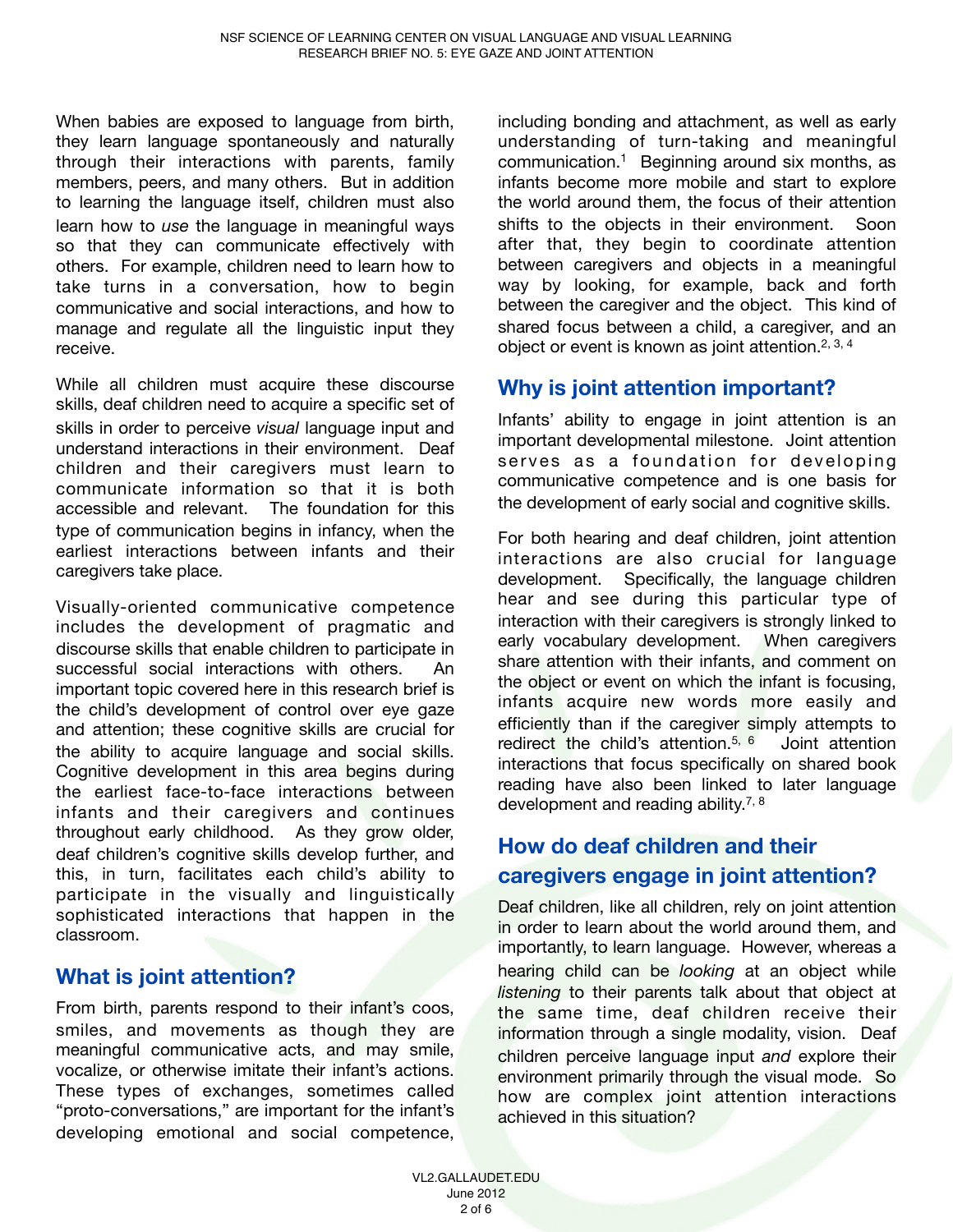When babies are exposed to language from birth, they learn language spontaneously and naturally through their interactions with parents, family members, peers, and many others. But in addition to learning the language itself, children must also learn how to *use* the language in meaningful ways so that they can communicate effectively with others. For example, children need to learn how to take turns in a conversation, how to begin communicative and social interactions, and how to manage and regulate all the linguistic input they receive.

While all children must acquire these discourse skills, deaf children need to acquire a specific set of skills in order to perceive *visual* language input and understand interactions in their environment. Deaf children and their caregivers must learn to communicate information so that it is both accessible and relevant. The foundation for this type of communication begins in infancy, when the earliest interactions between infants and their caregivers take place.

Visually-oriented communicative competence includes the development of pragmatic and discourse skills that enable children to participate in successful social interactions with others. An important topic covered here in this research brief is the child's development of control over eye gaze and attention; these cognitive skills are crucial for the ability to acquire language and social skills. Cognitive development in this area begins during the earliest face-to-face interactions between infants and their caregivers and continues throughout early childhood. As they grow older, deaf children's cognitive skills develop further, and this, in turn, facilitates each child's ability to participate in the visually and linguistically sophisticated interactions that happen in the classroom.

#### **What is joint attention?**

From birth, parents respond to their infant's coos, smiles, and movements as though they are meaningful communicative acts, and may smile, vocalize, or otherwise imitate their infant's actions. These types of exchanges, sometimes called "proto-conversations," are important for the infant's developing emotional and social competence,

including bonding and attachment, as well as early understanding of turn-taking and meaningful communication.1 Beginning around six months, as infants become more mobile and start to explore the world around them, the focus of their attention shifts to the objects in their environment. Soon after that, they begin to coordinate attention between caregivers and objects in a meaningful way by looking, for example, back and forth between the caregiver and the object. This kind of shared focus between a child, a caregiver, and an object or event is known as joint attention.<sup>2, 3, 4</sup>

## **Why is joint attention important?**

Infants' ability to engage in joint attention is an important developmental milestone. Joint attention serves as a foundation for developing communicative competence and is one basis for the development of early social and cognitive skills.

For both hearing and deaf children, joint attention interactions are also crucial for language development. Specifically, the language children hear and see during this particular type of interaction with their caregivers is strongly linked to early vocabulary development. When caregivers share attention with their infants, and comment on the object or event on which the infant is focusing, infants acquire new words more easily and efficiently than if the caregiver simply attempts to redirect the child's attention.<sup>5, 6</sup> Joint attention interactions that focus specifically on shared book reading have also been linked to later language development and reading ability.<sup>7, 8</sup>

## **How do deaf children and their caregivers engage in joint attention?**

Deaf children, like all children, rely on joint attention in order to learn about the world around them, and importantly, to learn language. However, whereas a hearing child can be *looking* at an object while *listening* to their parents talk about that object at the same time, deaf children receive their information through a single modality, vision. Deaf children perceive language input *and* explore their environment primarily through the visual mode. So how are complex joint attention interactions achieved in this situation?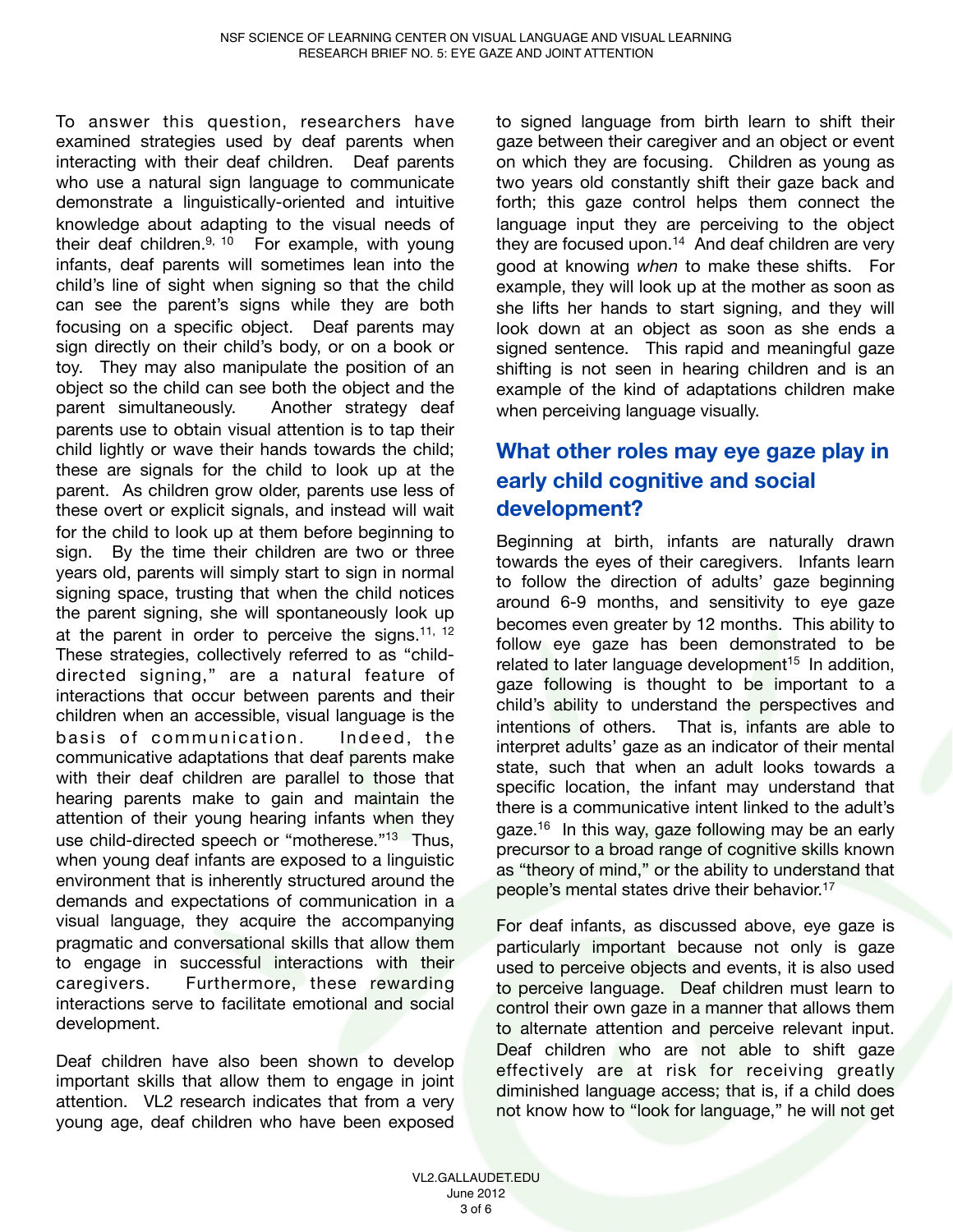To answer this question, researchers have examined strategies used by deaf parents when interacting with their deaf children. Deaf parents who use a natural sign language to communicate demonstrate a linguistically-oriented and intuitive knowledge about adapting to the visual needs of their deaf children. $9, 10$  For example, with young infants, deaf parents will sometimes lean into the child's line of sight when signing so that the child can see the parent's signs while they are both focusing on a specific object. Deaf parents may sign directly on their child's body, or on a book or toy. They may also manipulate the position of an object so the child can see both the object and the parent simultaneously. Another strategy deaf parents use to obtain visual attention is to tap their child lightly or wave their hands towards the child; these are signals for the child to look up at the parent. As children grow older, parents use less of these overt or explicit signals, and instead will wait for the child to look up at them before beginning to sign. By the time their children are two or three years old, parents will simply start to sign in normal signing space, trusting that when the child notices the parent signing, she will spontaneously look up at the parent in order to perceive the signs.<sup>11, 12</sup> These strategies, collectively referred to as "childdirected signing," are a natural feature of interactions that occur between parents and their children when an accessible, visual language is the basis of communication. Indeed, the communicative adaptations that deaf parents make with their deaf children are parallel to those that hearing parents make to gain and maintain the attention of their young hearing infants when they use child-directed speech or "motherese."<sup>13</sup> Thus, when young deaf infants are exposed to a linguistic environment that is inherently structured around the demands and expectations of communication in a visual language, they acquire the accompanying pragmatic and conversational skills that allow them to engage in successful interactions with their caregivers. Furthermore, these rewarding interactions serve to facilitate emotional and social development.

Deaf children have also been shown to develop important skills that allow them to engage in joint attention. VL2 research indicates that from a very young age, deaf children who have been exposed to signed language from birth learn to shift their gaze between their caregiver and an object or event on which they are focusing. Children as young as two years old constantly shift their gaze back and forth; this gaze control helps them connect the language input they are perceiving to the object they are focused upon. $14$  And deaf children are very good at knowing *when* to make these shifts. For example, they will look up at the mother as soon as she lifts her hands to start signing, and they will look down at an object as soon as she ends a signed sentence. This rapid and meaningful gaze shifting is not seen in hearing children and is an example of the kind of adaptations children make when perceiving language visually.

## **What other roles may eye gaze play in early child cognitive and social development?**

Beginning at birth, infants are naturally drawn towards the eyes of their caregivers. Infants learn to follow the direction of adults' gaze beginning around 6-9 months, and sensitivity to eye gaze becomes even greater by 12 months. This ability to follow eye gaze has been demonstrated to be related to later language development<sup>15</sup> In addition, gaze following is thought to be important to a child's ability to understand the perspectives and intentions of others. That is, infants are able to interpret adults' gaze as an indicator of their mental state, such that when an adult looks towards a specific location, the infant may understand that there is a communicative intent linked to the adult's gaze.<sup>16</sup> In this way, gaze following may be an early precursor to a broad range of cognitive skills known as "theory of mind," or the ability to understand that people's mental states drive their behavior.17

For deaf infants, as discussed above, eye gaze is particularly important because not only is gaze used to perceive objects and events, it is also used to perceive language. Deaf children must learn to control their own gaze in a manner that allows them to alternate attention and perceive relevant input. Deaf children who are not able to shift gaze effectively are at risk for receiving greatly diminished language access; that is, if a child does not know how to "look for language," he will not get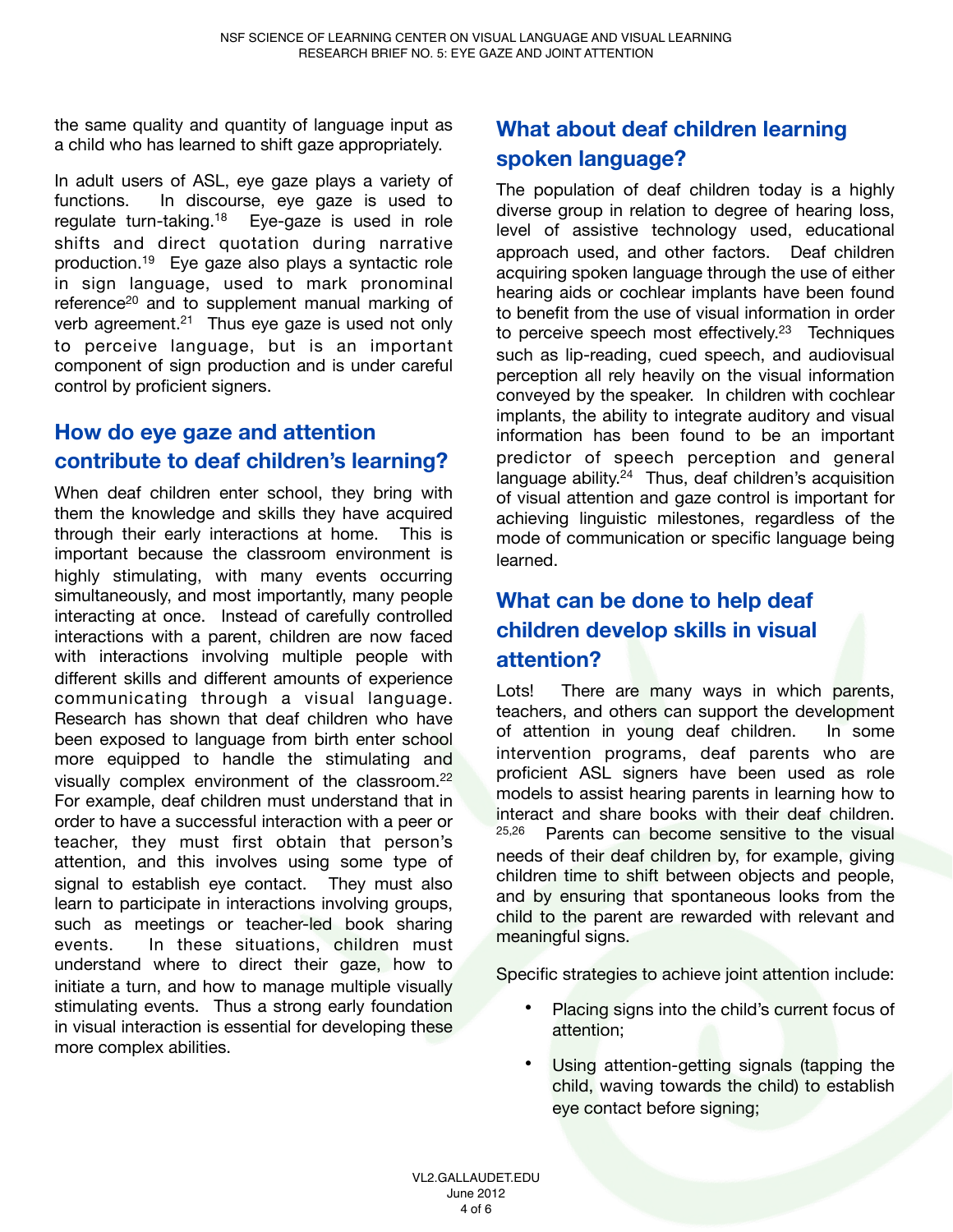the same quality and quantity of language input as a child who has learned to shift gaze appropriately.

In adult users of ASL, eye gaze plays a variety of functions. In discourse, eye gaze is used to regulate turn-taking.18 Eye-gaze is used in role shifts and direct quotation during narrative production.19 Eye gaze also plays a syntactic role in sign language, used to mark pronominal reference<sup>20</sup> and to supplement manual marking of verb agreement. $21$  Thus eye gaze is used not only to perceive language, but is an important component of sign production and is under careful control by proficient signers.

## **How do eye gaze and attention contribute to deaf children's learning?**

When deaf children enter school, they bring with them the knowledge and skills they have acquired through their early interactions at home. This is important because the classroom environment is highly stimulating, with many events occurring simultaneously, and most importantly, many people interacting at once. Instead of carefully controlled interactions with a parent, children are now faced with interactions involving multiple people with different skills and different amounts of experience communicating through a visual language. Research has shown that deaf children who have been exposed to language from birth enter school more equipped to handle the stimulating and visually complex environment of the classroom.22 For example, deaf children must understand that in order to have a successful interaction with a peer or teacher, they must first obtain that person's attention, and this involves using some type of signal to establish eye contact. They must also learn to participate in interactions involving groups, such as meetings or teacher-led book sharing events. In these situations, children must understand where to direct their gaze, how to initiate a turn, and how to manage multiple visually stimulating events. Thus a strong early foundation in visual interaction is essential for developing these more complex abilities.

# **What about deaf children learning spoken language?**

The population of deaf children today is a highly diverse group in relation to degree of hearing loss, level of assistive technology used, educational approach used, and other factors. Deaf children acquiring spoken language through the use of either hearing aids or cochlear implants have been found to benefit from the use of visual information in order to perceive speech most effectively.<sup>23</sup> Techniques such as lip-reading, cued speech, and audiovisual perception all rely heavily on the visual information conveyed by the speaker. In children with cochlear implants, the ability to integrate auditory and visual information has been found to be an important predictor of speech perception and general language ability.<sup>24</sup> Thus, deaf children's acquisition of visual attention and gaze control is important for achieving linguistic milestones, regardless of the mode of communication or specific language being learned.

## **What can be done to help deaf children develop skills in visual attention?**

Lots! There are many ways in which parents, teachers, and others can support the development of attention in young deaf children. In some intervention programs, deaf parents who are proficient ASL signers have been used as role models to assist hearing parents in learning how to interact and share books with their deaf children.<br>25.26 **Parents can become sensitive to the visual** Parents can become sensitive to the visual needs of their deaf children by, for example, giving children time to shift between objects and people, and by ensuring that spontaneous looks from the child to the parent are rewarded with relevant and meaningful signs.

Specific strategies to achieve joint attention include:

- Placing signs into the child's current focus of attention;
- Using attention-getting signals (tapping the child, waving towards the child) to establish eye contact before signing;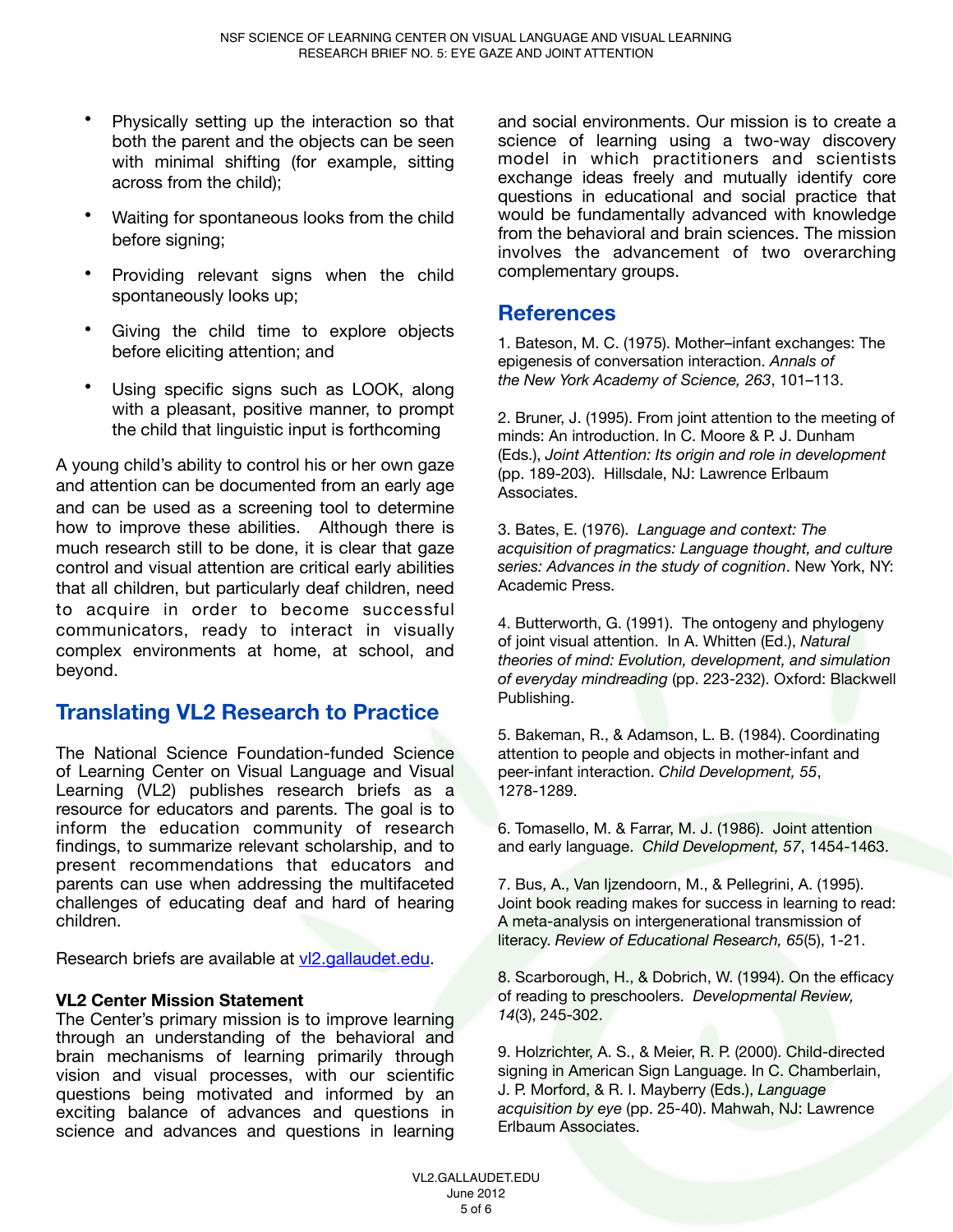- Physically setting up the interaction so that both the parent and the objects can be seen with minimal shifting (for example, sitting across from the child);
- Waiting for spontaneous looks from the child before signing;
- Providing relevant signs when the child spontaneously looks up;
- Giving the child time to explore objects before eliciting attention; and
- Using specific signs such as LOOK, along with a pleasant, positive manner, to prompt the child that linguistic input is forthcoming

A young child's ability to control his or her own gaze and attention can be documented from an early age and can be used as a screening tool to determine how to improve these abilities. Although there is much research still to be done, it is clear that gaze control and visual attention are critical early abilities that all children, but particularly deaf children, need to acquire in order to become successful communicators, ready to interact in visually complex environments at home, at school, and beyond.

#### **Translating VL2 Research to Practice**

The National Science Foundation-funded Science of Learning Center on Visual Language and Visual Learning (VL2) publishes research briefs as a resource for educators and parents. The goal is to inform the education community of research findings, to summarize relevant scholarship, and to present recommendations that educators and parents can use when addressing the multifaceted challenges of educating deaf and hard of hearing children.

Research briefs are available at [vl2.gallaudet.edu.](http://www.vl2.gallaudet.edu)

#### **VL2 Center Mission Statement**

The Center's primary mission is to improve learning through an understanding of the behavioral and brain mechanisms of learning primarily through vision and visual processes, with our scientific questions being motivated and informed by an exciting balance of advances and questions in science and advances and questions in learning and social environments. Our mission is to create a science of learning using a two-way discovery model in which practitioners and scientists exchange ideas freely and mutually identify core questions in educational and social practice that would be fundamentally advanced with knowledge from the behavioral and brain sciences. The mission involves the advancement of two overarching complementary groups.

#### **References**

1. Bateson, M. C. (1975). Mother–infant exchanges: The epigenesis of conversation interaction. *Annals of the New York Academy of Science, 263*, 101–113.

2. Bruner, J. (1995). From joint attention to the meeting of minds: An introduction. In C. Moore & P. J. Dunham (Eds.), *Joint Attention: Its origin and role in development* (pp. 189-203). Hillsdale, NJ: Lawrence Erlbaum Associates.

3. Bates, E. (1976). *Language and context: The acquisition of pragmatics: Language thought, and culture series: Advances in the study of cognition*. New York, NY: Academic Press.

4. Butterworth, G. (1991). The ontogeny and phylogeny of joint visual attention. In A. Whitten (Ed.), *Natural theories of mind: Evolution, development, and simulation of everyday mindreading* (pp. 223-232). Oxford: Blackwell Publishing.

5. Bakeman, R., & Adamson, L. B. (1984). Coordinating attention to people and objects in mother-infant and peer-infant interaction. *Child Development, 55*, 1278-1289.

6. Tomasello, M. & Farrar, M. J. (1986). Joint attention and early language. *Child Development, 57*, 1454-1463.

7. Bus, A., Van Ijzendoorn, M., & Pellegrini, A. (1995). Joint book reading makes for success in learning to read: A meta-analysis on intergenerational transmission of literacy. *Review of Educational Research, 65*(5), 1-21.

8. Scarborough, H., & Dobrich, W. (1994). On the efficacy of reading to preschoolers. *Developmental Review, 14*(3), 245-302.

9. Holzrichter, A. S., & Meier, R. P. (2000). Child-directed signing in American Sign Language. In C. Chamberlain, J. P. Morford, & R. I. Mayberry (Eds.), *Language acquisition by eye* (pp. 25-40). Mahwah, NJ: Lawrence Erlbaum Associates.